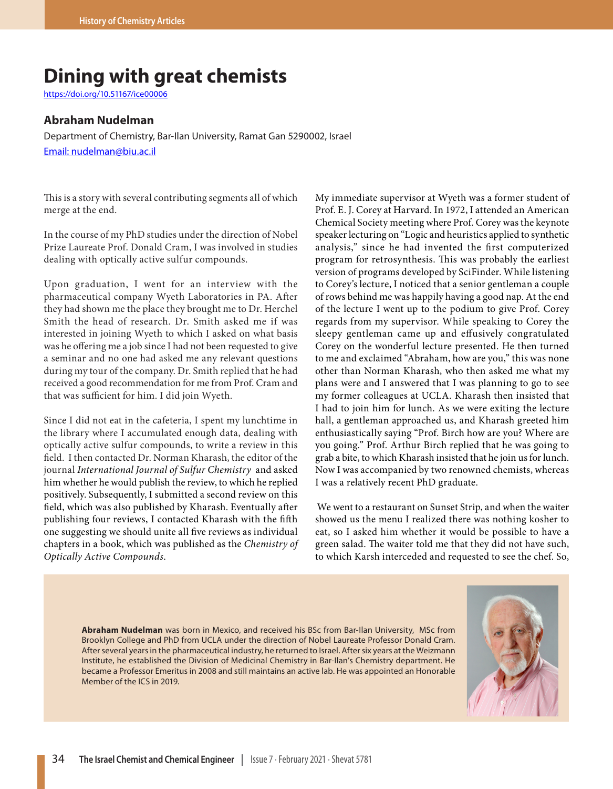## **Dining with great chemists**

https://doi.org/10.51167/ice00006

## **Abraham Nudelman**

Department of Chemistry, Bar-Ilan University, Ramat Gan 5290002, Israel Email: nudelman@biu.ac.il

This is a story with several contributing segments all of which merge at the end.

In the course of my PhD studies under the direction of Nobel Prize Laureate Prof. Donald Cram, I was involved in studies dealing with optically active sulfur compounds.

Upon graduation, I went for an interview with the pharmaceutical company Wyeth Laboratories in PA. After they had shown me the place they brought me to Dr. Herchel Smith the head of research. Dr. Smith asked me if was interested in joining Wyeth to which I asked on what basis was he offering me a job since I had not been requested to give a seminar and no one had asked me any relevant questions during my tour of the company. Dr. Smith replied that he had received a good recommendation for me from Prof. Cram and that was sufficient for him. I did join Wyeth.

Since I did not eat in the cafeteria, I spent my lunchtime in the library where I accumulated enough data, dealing with optically active sulfur compounds, to write a review in this field. I then contacted Dr. Norman Kharash, the editor of the journal *International Journal of Sulfur Chemistry* and asked him whether he would publish the review, to which he replied positively. Subsequently, I submitted a second review on this field, which was also published by Kharash. Eventually after publishing four reviews, I contacted Kharash with the fifth one suggesting we should unite all five reviews as individual chapters in a book, which was published as the *Chemistry of Optically Active Compounds*.

My immediate supervisor at Wyeth was a former student of Prof. E. J. Corey at Harvard. In 1972, I attended an American Chemical Society meeting where Prof. Corey was the keynote speaker lecturing on "Logic and heuristics applied to synthetic analysis," since he had invented the first computerized program for retrosynthesis. This was probably the earliest version of programs developed by SciFinder. While listening to Corey's lecture, I noticed that a senior gentleman a couple of rows behind me was happily having a good nap. At the end of the lecture I went up to the podium to give Prof. Corey regards from my supervisor. While speaking to Corey the sleepy gentleman came up and effusively congratulated Corey on the wonderful lecture presented. He then turned to me and exclaimed "Abraham, how are you," this was none other than Norman Kharash, who then asked me what my plans were and I answered that I was planning to go to see my former colleagues at UCLA. Kharash then insisted that I had to join him for lunch. As we were exiting the lecture hall, a gentleman approached us, and Kharash greeted him enthusiastically saying "Prof. Birch how are you? Where are you going." Prof. Arthur Birch replied that he was going to grab a bite, to which Kharash insisted that he join us for lunch. Now I was accompanied by two renowned chemists, whereas I was a relatively recent PhD graduate.

 We went to a restaurant on Sunset Strip, and when the waiter showed us the menu I realized there was nothing kosher to eat, so I asked him whether it would be possible to have a green salad. The waiter told me that they did not have such, to which Karsh interceded and requested to see the chef. So,

**Abraham Nudelman** was born in Mexico, and received his BSc from Bar-Ilan University, MSc from Brooklyn College and PhD from UCLA under the direction of Nobel Laureate Professor Donald Cram. After several years in the pharmaceutical industry, he returned to Israel. After six years at the Weizmann Institute, he established the Division of Medicinal Chemistry in Bar-Ilan's Chemistry department. He became a Professor Emeritus in 2008 and still maintains an active lab. He was appointed an Honorable Member of the ICS in 2019.